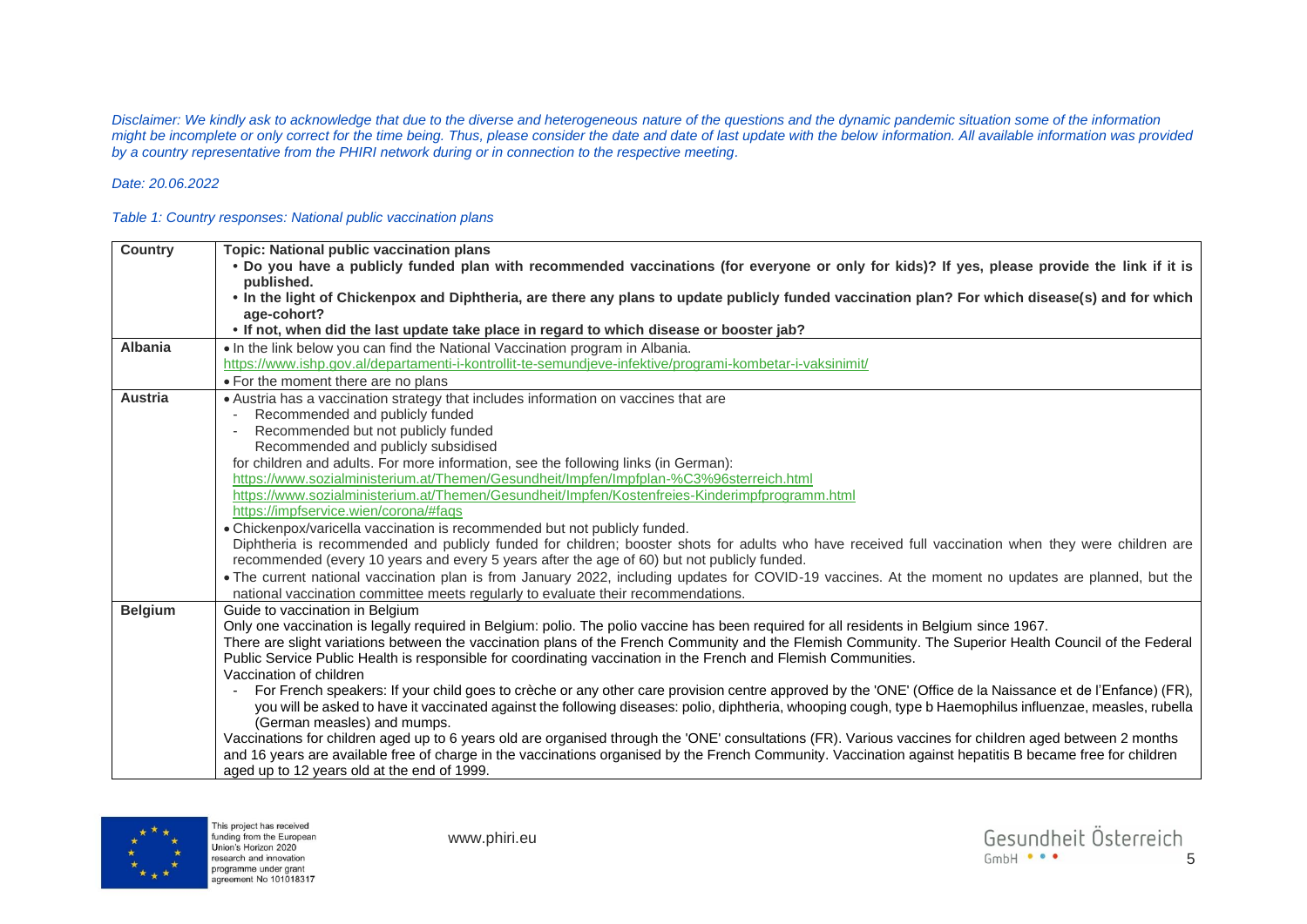*Disclaimer: We kindly ask to acknowledge that due to the diverse and heterogeneous nature of the questions and the dynamic pandemic situation some of the information might be incomplete or only correct for the time being. Thus, please consider the date and date of last update with the below information. All available information was provided by a country representative from the PHIRI network during or in connection to the respective meeting.*

## *Date: 20.06.2022*

## *Table 1: Country responses: National public vaccination plans*

| Country        | <b>Topic: National public vaccination plans</b>                                                                                                                                                                                                                            |
|----------------|----------------------------------------------------------------------------------------------------------------------------------------------------------------------------------------------------------------------------------------------------------------------------|
|                | . Do you have a publicly funded plan with recommended vaccinations (for everyone or only for kids)? If yes, please provide the link if it is                                                                                                                               |
|                | published.                                                                                                                                                                                                                                                                 |
|                | • In the light of Chickenpox and Diphtheria, are there any plans to update publicly funded vaccination plan? For which disease(s) and for which                                                                                                                            |
|                | age-cohort?                                                                                                                                                                                                                                                                |
|                | • If not, when did the last update take place in regard to which disease or booster jab?                                                                                                                                                                                   |
| <b>Albania</b> | • In the link below you can find the National Vaccination program in Albania.                                                                                                                                                                                              |
|                | https://www.ishp.gov.al/departamenti-i-kontrollit-te-semundjeve-infektive/programi-kombetar-i-vaksinimit/                                                                                                                                                                  |
|                | • For the moment there are no plans                                                                                                                                                                                                                                        |
| <b>Austria</b> | • Austria has a vaccination strategy that includes information on vaccines that are                                                                                                                                                                                        |
|                | Recommended and publicly funded                                                                                                                                                                                                                                            |
|                | Recommended but not publicly funded                                                                                                                                                                                                                                        |
|                | Recommended and publicly subsidised                                                                                                                                                                                                                                        |
|                | for children and adults. For more information, see the following links (in German):                                                                                                                                                                                        |
|                | https://www.sozialministerium.at/Themen/Gesundheit/Impfen/Impfplan-%C3%96sterreich.html                                                                                                                                                                                    |
|                | https://www.sozialministerium.at/Themen/Gesundheit/Impfen/Kostenfreies-Kinderimpfprogramm.html                                                                                                                                                                             |
|                | https://impfservice.wien/corona/#faqs                                                                                                                                                                                                                                      |
|                | • Chickenpox/varicella vaccination is recommended but not publicly funded.                                                                                                                                                                                                 |
|                | Diphtheria is recommended and publicly funded for children; booster shots for adults who have received full vaccination when they were children are<br>recommended (every 10 years and every 5 years after the age of 60) but not publicly funded.                         |
|                | • The current national vaccination plan is from January 2022, including updates for COVID-19 vaccines. At the moment no updates are planned, but the                                                                                                                       |
|                | national vaccination committee meets regularly to evaluate their recommendations.                                                                                                                                                                                          |
| <b>Belgium</b> | Guide to vaccination in Belgium                                                                                                                                                                                                                                            |
|                | Only one vaccination is legally required in Belgium: polio. The polio vaccine has been required for all residents in Belgium since 1967.                                                                                                                                   |
|                | There are slight variations between the vaccination plans of the French Community and the Flemish Community. The Superior Health Council of the Federal<br>Public Service Public Health is responsible for coordinating vaccination in the French and Flemish Communities. |
|                | Vaccination of children                                                                                                                                                                                                                                                    |
|                | For French speakers: If your child goes to crèche or any other care provision centre approved by the 'ONE' (Office de la Naissance et de l'Enfance) (FR),                                                                                                                  |
|                | you will be asked to have it vaccinated against the following diseases: polio, diphtheria, whooping cough, type b Haemophilus influenzae, measles, rubella                                                                                                                 |
|                | (German measles) and mumps.                                                                                                                                                                                                                                                |
|                | Vaccinations for children aged up to 6 years old are organised through the 'ONE' consultations (FR). Various vaccines for children aged between 2 months                                                                                                                   |
|                | and 16 years are available free of charge in the vaccinations organised by the French Community. Vaccination against hepatitis B became free for children                                                                                                                  |
|                | aged up to 12 years old at the end of 1999.                                                                                                                                                                                                                                |
|                |                                                                                                                                                                                                                                                                            |

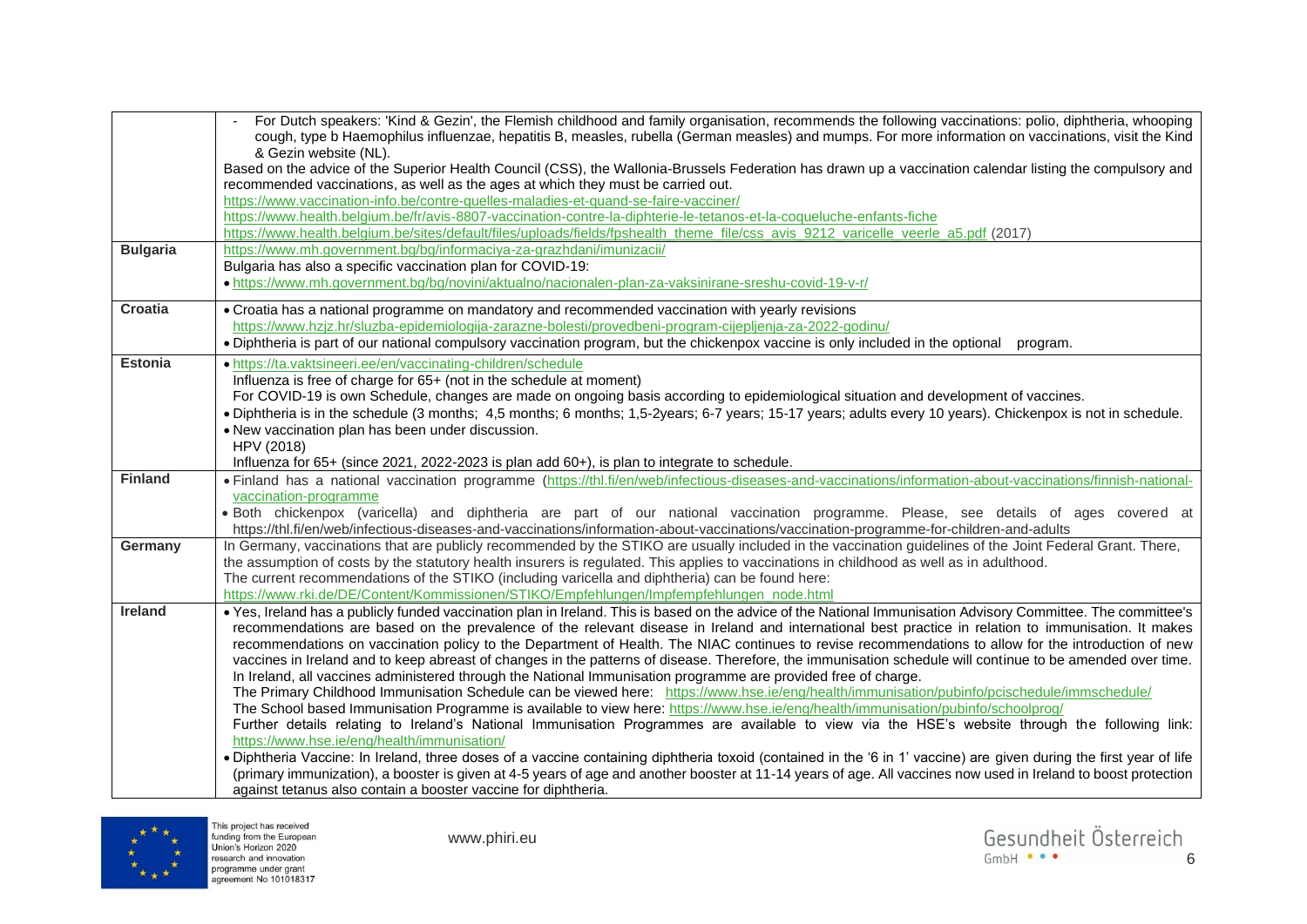|                 | For Dutch speakers: 'Kind & Gezin', the Flemish childhood and family organisation, recommends the following vaccinations: polio, diphtheria, whooping<br>cough, type b Haemophilus influenzae, hepatitis B, measles, rubella (German measles) and mumps. For more information on vaccinations, visit the Kind |
|-----------------|---------------------------------------------------------------------------------------------------------------------------------------------------------------------------------------------------------------------------------------------------------------------------------------------------------------|
|                 | & Gezin website (NL).                                                                                                                                                                                                                                                                                         |
|                 | Based on the advice of the Superior Health Council (CSS), the Wallonia-Brussels Federation has drawn up a vaccination calendar listing the compulsory and<br>recommended vaccinations, as well as the ages at which they must be carried out.                                                                 |
|                 | https://www.vaccination-info.be/contre-quelles-maladies-et-quand-se-faire-vacciner/                                                                                                                                                                                                                           |
|                 | https://www.health.belgium.be/fr/avis-8807-vaccination-contre-la-diphterie-le-tetanos-et-la-coqueluche-enfants-fiche                                                                                                                                                                                          |
|                 | https://www.health.belgium.be/sites/default/files/uploads/fields/fpshealth_theme_file/css_avis_9212_varicelle_veerle_a5.pdf (2017)                                                                                                                                                                            |
| <b>Bulgaria</b> | https://www.mh.government.bg/bg/informaciya-za-grazhdani/imunizacii/                                                                                                                                                                                                                                          |
|                 | Bulgaria has also a specific vaccination plan for COVID-19:                                                                                                                                                                                                                                                   |
|                 | · https://www.mh.government.bg/bg/novini/aktualno/nacionalen-plan-za-vaksinirane-sreshu-covid-19-v-r/                                                                                                                                                                                                         |
| Croatia         | • Croatia has a national programme on mandatory and recommended vaccination with yearly revisions                                                                                                                                                                                                             |
|                 | https://www.hzjz.hr/sluzba-epidemiologija-zarazne-bolesti/provedbeni-program-cijepljenja-za-2022-godinu/                                                                                                                                                                                                      |
|                 | . Diphtheria is part of our national compulsory vaccination program, but the chickenpox vaccine is only included in the optional program.                                                                                                                                                                     |
| <b>Estonia</b>  | · https://ta.vaktsineeri.ee/en/vaccinating-children/schedule                                                                                                                                                                                                                                                  |
|                 | Influenza is free of charge for 65+ (not in the schedule at moment)                                                                                                                                                                                                                                           |
|                 | For COVID-19 is own Schedule, changes are made on ongoing basis according to epidemiological situation and development of vaccines.                                                                                                                                                                           |
|                 | . Diphtheria is in the schedule (3 months; 4,5 months; 6 months; 1,5-2years; 6-7 years; 15-17 years; adults every 10 years). Chickenpox is not in schedule.                                                                                                                                                   |
|                 | • New vaccination plan has been under discussion.                                                                                                                                                                                                                                                             |
|                 | HPV (2018)                                                                                                                                                                                                                                                                                                    |
|                 | Influenza for 65+ (since 2021, 2022-2023 is plan add 60+), is plan to integrate to schedule.                                                                                                                                                                                                                  |
| <b>Finland</b>  | • Finland has a national vaccination programme (https://thl.fi/en/web/infectious-diseases-and-vaccinations/information-about-vaccinations/finnish-national-                                                                                                                                                   |
|                 | vaccination-programme                                                                                                                                                                                                                                                                                         |
|                 | · Both chickenpox (varicella) and diphtheria are part of our national vaccination programme. Please, see details of ages covered at                                                                                                                                                                           |
|                 | https://thl.fi/en/web/infectious-diseases-and-vaccinations/information-about-vaccinations/vaccination-programme-for-children-and-adults                                                                                                                                                                       |
| Germany         | In Germany, vaccinations that are publicly recommended by the STIKO are usually included in the vaccination guidelines of the Joint Federal Grant. There,<br>the assumption of costs by the statutory health insurers is regulated. This applies to vaccinations in childhood as well as in adulthood.        |
|                 | The current recommendations of the STIKO (including varicella and diphtheria) can be found here:                                                                                                                                                                                                              |
|                 | https://www.rki.de/DE/Content/Kommissionen/STIKO/Empfehlungen/Impfempfehlungen_node.html                                                                                                                                                                                                                      |
| <b>Ireland</b>  | • Yes, Ireland has a publicly funded vaccination plan in Ireland. This is based on the advice of the National Immunisation Advisory Committee. The committee's                                                                                                                                                |
|                 | recommendations are based on the prevalence of the relevant disease in Ireland and international best practice in relation to immunisation. It makes                                                                                                                                                          |
|                 | recommendations on vaccination policy to the Department of Health. The NIAC continues to revise recommendations to allow for the introduction of new                                                                                                                                                          |
|                 | vaccines in Ireland and to keep abreast of changes in the patterns of disease. Therefore, the immunisation schedule will continue to be amended over time.                                                                                                                                                    |
|                 | In Ireland, all vaccines administered through the National Immunisation programme are provided free of charge.                                                                                                                                                                                                |
|                 | The Primary Childhood Immunisation Schedule can be viewed here: https://www.hse.ie/eng/health/immunisation/pubinfo/pcischedule/immschedule/                                                                                                                                                                   |
|                 | The School based Immunisation Programme is available to view here: https://www.hse.ie/eng/health/immunisation/pubinfo/schoolprog/                                                                                                                                                                             |
|                 | Further details relating to Ireland's National Immunisation Programmes are available to view via the HSE's website through the following link:                                                                                                                                                                |
|                 | https://www.hse.ie/eng/health/immunisation/                                                                                                                                                                                                                                                                   |
|                 | . Diphtheria Vaccine: In Ireland, three doses of a vaccine containing diphtheria toxoid (contained in the '6 in 1' vaccine) are given during the first year of life                                                                                                                                           |
|                 | (primary immunization), a booster is given at 4-5 years of age and another booster at 11-14 years of age. All vaccines now used in Ireland to boost protection                                                                                                                                                |
|                 | against tetanus also contain a booster vaccine for diphtheria.                                                                                                                                                                                                                                                |

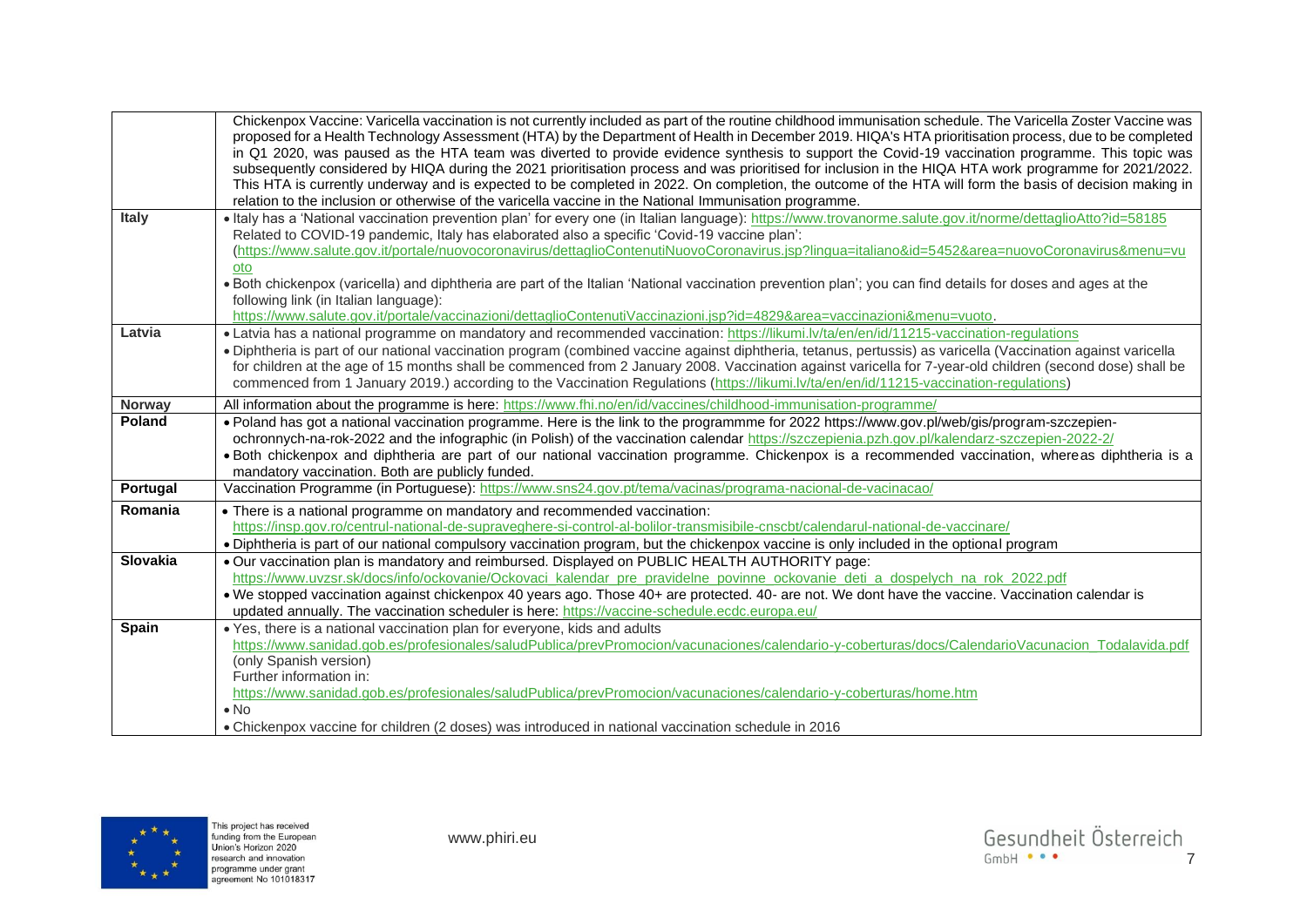|               | Chickenpox Vaccine: Varicella vaccination is not currently included as part of the routine childhood immunisation schedule. The Varicella Zoster Vaccine was<br>proposed for a Health Technology Assessment (HTA) by the Department of Health in December 2019. HIQA's HTA prioritisation process, due to be completed<br>in Q1 2020, was paused as the HTA team was diverted to provide evidence synthesis to support the Covid-19 vaccination programme. This topic was |
|---------------|---------------------------------------------------------------------------------------------------------------------------------------------------------------------------------------------------------------------------------------------------------------------------------------------------------------------------------------------------------------------------------------------------------------------------------------------------------------------------|
|               | subsequently considered by HIQA during the 2021 prioritisation process and was prioritised for inclusion in the HIQA HTA work programme for 2021/2022.<br>This HTA is currently underway and is expected to be completed in 2022. On completion, the outcome of the HTA will form the basis of decision making in                                                                                                                                                         |
|               | relation to the inclusion or otherwise of the varicella vaccine in the National Immunisation programme.                                                                                                                                                                                                                                                                                                                                                                   |
| Italy         | . Italy has a 'National vaccination prevention plan' for every one (in Italian language): https://www.trovanorme.salute.gov.it/norme/dettaglioAtto?id=58185                                                                                                                                                                                                                                                                                                               |
|               | Related to COVID-19 pandemic, Italy has elaborated also a specific 'Covid-19 vaccine plan':                                                                                                                                                                                                                                                                                                                                                                               |
|               | (https://www.salute.gov.it/portale/nuovocoronavirus/dettaglioContenutiNuovoCoronavirus.jsp?lingua=italiano&id=5452&area=nuovoCoronavirus&menu=vu                                                                                                                                                                                                                                                                                                                          |
|               | oto                                                                                                                                                                                                                                                                                                                                                                                                                                                                       |
|               | . Both chickenpox (varicella) and diphtheria are part of the Italian 'National vaccination prevention plan'; you can find details for doses and ages at the<br>following link (in Italian language):                                                                                                                                                                                                                                                                      |
|               | https://www.salute.gov.it/portale/vaccinazioni/dettaglioContenutiVaccinazioni.jsp?id=4829&area=vaccinazioni&menu=vuoto.                                                                                                                                                                                                                                                                                                                                                   |
| Latvia        | • Latvia has a national programme on mandatory and recommended vaccination: https://likumi.lv/ta/en/en/id/11215-vaccination-regulations                                                                                                                                                                                                                                                                                                                                   |
|               | · Diphtheria is part of our national vaccination program (combined vaccine against diphtheria, tetanus, pertussis) as varicella (Vaccination against varicella                                                                                                                                                                                                                                                                                                            |
|               | for children at the age of 15 months shall be commenced from 2 January 2008. Vaccination against varicella for 7-year-old children (second dose) shall be                                                                                                                                                                                                                                                                                                                 |
|               | commenced from 1 January 2019.) according to the Vaccination Regulations (https://likumi.lv/ta/en/en/id/11215-vaccination-regulations)                                                                                                                                                                                                                                                                                                                                    |
| <b>Norway</b> | All information about the programme is here: https://www.fhi.no/en/id/vaccines/childhood-immunisation-programme/                                                                                                                                                                                                                                                                                                                                                          |
| <b>Poland</b> | . Poland has got a national vaccination programme. Here is the link to the programmme for 2022 https://www.gov.pl/web/gis/program-szczepien-                                                                                                                                                                                                                                                                                                                              |
|               | ochronnych-na-rok-2022 and the infographic (in Polish) of the vaccination calendar https://szczepienia.pzh.gov.pl/kalendarz-szczepien-2022-2/                                                                                                                                                                                                                                                                                                                             |
|               | . Both chickenpox and diphtheria are part of our national vaccination programme. Chickenpox is a recommended vaccination, whereas diphtheria is a                                                                                                                                                                                                                                                                                                                         |
|               | mandatory vaccination. Both are publicly funded.                                                                                                                                                                                                                                                                                                                                                                                                                          |
| Portugal      | Vaccination Programme (in Portuguese): https://www.sns24.gov.pt/tema/vacinas/programa-nacional-de-vacinacao/                                                                                                                                                                                                                                                                                                                                                              |
| Romania       | • There is a national programme on mandatory and recommended vaccination:                                                                                                                                                                                                                                                                                                                                                                                                 |
|               | https://insp.gov.ro/centrul-national-de-supraveghere-si-control-al-bolilor-transmisibile-cnscbt/calendarul-national-de-vaccinare/                                                                                                                                                                                                                                                                                                                                         |
|               | . Diphtheria is part of our national compulsory vaccination program, but the chickenpox vaccine is only included in the optional program                                                                                                                                                                                                                                                                                                                                  |
| Slovakia      | . Our vaccination plan is mandatory and reimbursed. Displayed on PUBLIC HEALTH AUTHORITY page:                                                                                                                                                                                                                                                                                                                                                                            |
|               | https://www.uvzsr.sk/docs/info/ockovanie/Ockovaci kalendar pre pravidelne povinne ockovanie deti a dospelych na rok 2022.pdf                                                                                                                                                                                                                                                                                                                                              |
|               | . We stopped vaccination against chickenpox 40 years ago. Those 40+ are protected. 40- are not. We dont have the vaccine. Vaccination calendar is                                                                                                                                                                                                                                                                                                                         |
|               | updated annually. The vaccination scheduler is here: https://vaccine-schedule.ecdc.europa.eu/                                                                                                                                                                                                                                                                                                                                                                             |
| <b>Spain</b>  | . Yes, there is a national vaccination plan for everyone, kids and adults                                                                                                                                                                                                                                                                                                                                                                                                 |
|               | https://www.sanidad.gob.es/profesionales/saludPublica/prevPromocion/vacunaciones/calendario-y-coberturas/docs/CalendarioVacunacion_Todalavida.pdf                                                                                                                                                                                                                                                                                                                         |
|               | (only Spanish version)                                                                                                                                                                                                                                                                                                                                                                                                                                                    |
|               | Further information in:                                                                                                                                                                                                                                                                                                                                                                                                                                                   |
|               | https://www.sanidad.gob.es/profesionales/saludPublica/prevPromocion/vacunaciones/calendario-y-coberturas/home.htm                                                                                                                                                                                                                                                                                                                                                         |
|               | $\bullet$ No                                                                                                                                                                                                                                                                                                                                                                                                                                                              |
|               | . Chickenpox vaccine for children (2 doses) was introduced in national vaccination schedule in 2016                                                                                                                                                                                                                                                                                                                                                                       |